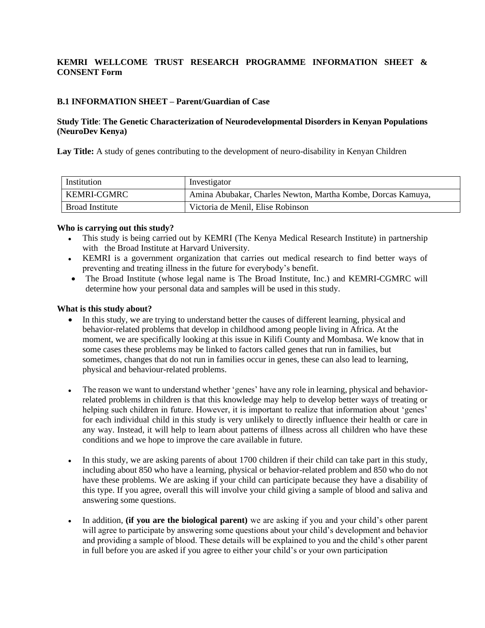# **KEMRI WELLCOME TRUST RESEARCH PROGRAMME INFORMATION SHEET & CONSENT Form**

#### **B.1 INFORMATION SHEET – Parent/Guardian of Case**

#### **Study Title**: **The Genetic Characterization of Neurodevelopmental Disorders in Kenyan Populations (NeuroDev Kenya)**

**Lay Title:** A study of genes contributing to the development of neuro-disability in Kenyan Children

| Institution     | Investigator                                                 |
|-----------------|--------------------------------------------------------------|
| KEMRI-CGMRC     | Amina Abubakar, Charles Newton, Martha Kombe, Dorcas Kamuya, |
| Broad Institute | Victoria de Menil, Elise Robinson                            |

#### **Who is carrying out this study?**

- This study is being carried out by KEMRI (The Kenya Medical Research Institute) in partnership with the Broad Institute at Harvard University.
- KEMRI is a government organization that carries out medical research to find better ways of preventing and treating illness in the future for everybody's benefit.
- The Broad Institute (whose legal name is The Broad Institute, Inc.) and KEMRI-CGMRC will determine how your personal data and samples will be used in this study.

#### **What is this study about?**

- In this study, we are trying to understand better the causes of different learning, physical and behavior-related problems that develop in childhood among people living in Africa. At the moment, we are specifically looking at this issue in Kilifi County and Mombasa. We know that in some cases these problems may be linked to factors called genes that run in families, but sometimes, changes that do not run in families occur in genes, these can also lead to learning, physical and behaviour-related problems.
- The reason we want to understand whether 'genes' have any role in learning, physical and behaviorrelated problems in children is that this knowledge may help to develop better ways of treating or helping such children in future. However, it is important to realize that information about 'genes' for each individual child in this study is very unlikely to directly influence their health or care in any way. Instead, it will help to learn about patterns of illness across all children who have these conditions and we hope to improve the care available in future.
- In this study, we are asking parents of about 1700 children if their child can take part in this study, including about 850 who have a learning, physical or behavior-related problem and 850 who do not have these problems. We are asking if your child can participate because they have a disability of this type. If you agree, overall this will involve your child giving a sample of blood and saliva and answering some questions.
- In addition, **(if you are the biological parent)** we are asking if you and your child's other parent will agree to participate by answering some questions about your child's development and behavior and providing a sample of blood. These details will be explained to you and the child's other parent in full before you are asked if you agree to either your child's or your own participation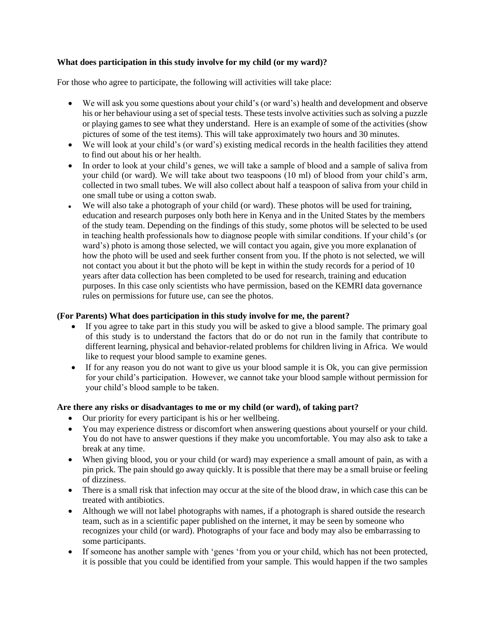# **What does participation in this study involve for my child (or my ward)?**

For those who agree to participate, the following will activities will take place:

- We will ask you some questions about your child's (or ward's) health and development and observe his or her behaviour using a set of special tests. These tests involve activities such as solving a puzzle or playing games to see what they understand. Here is an example of some of the activities (show pictures of some of the test items). This will take approximately two hours and 30 minutes.
- We will look at your child's (or ward's) existing medical records in the health facilities they attend to find out about his or her health.
- In order to look at your child's genes, we will take a sample of blood and a sample of saliva from your child (or ward). We will take about two teaspoons (10 ml) of blood from your child's arm, collected in two small tubes. We will also collect about half a teaspoon of saliva from your child in one small tube or using a cotton swab.
- We will also take a photograph of your child (or ward). These photos will be used for training, education and research purposes only both here in Kenya and in the United States by the members of the study team. Depending on the findings of this study, some photos will be selected to be used in teaching health professionals how to diagnose people with similar conditions. If your child's (or ward's) photo is among those selected, we will contact you again, give you more explanation of how the photo will be used and seek further consent from you. If the photo is not selected, we will not contact you about it but the photo will be kept in within the study records for a period of 10 years after data collection has been completed to be used for research, training and education purposes. In this case only scientists who have permission, based on the KEMRI data governance rules on permissions for future use, can see the photos.

## **(For Parents) What does participation in this study involve for me, the parent?**

- If you agree to take part in this study you will be asked to give a blood sample. The primary goal of this study is to understand the factors that do or do not run in the family that contribute to different learning, physical and behavior-related problems for children living in Africa. We would like to request your blood sample to examine genes.
- If for any reason you do not want to give us your blood sample it is Ok, you can give permission for your child's participation. However, we cannot take your blood sample without permission for your child's blood sample to be taken.

## **Are there any risks or disadvantages to me or my child (or ward), of taking part?**

- Our priority for every participant is his or her wellbeing.
- You may experience distress or discomfort when answering questions about yourself or your child. You do not have to answer questions if they make you uncomfortable. You may also ask to take a break at any time.
- When giving blood, you or your child (or ward) may experience a small amount of pain, as with a pin prick. The pain should go away quickly. It is possible that there may be a small bruise or feeling of dizziness.
- There is a small risk that infection may occur at the site of the blood draw, in which case this can be treated with antibiotics.
- Although we will not label photographs with names, if a photograph is shared outside the research team, such as in a scientific paper published on the internet, it may be seen by someone who recognizes your child (or ward). Photographs of your face and body may also be embarrassing to some participants.
- If someone has another sample with 'genes 'from you or your child, which has not been protected, it is possible that you could be identified from your sample. This would happen if the two samples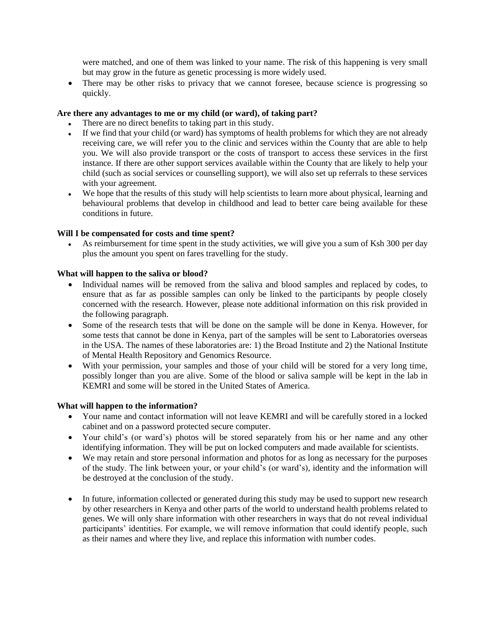were matched, and one of them was linked to your name. The risk of this happening is very small but may grow in the future as genetic processing is more widely used.

• There may be other risks to privacy that we cannot foresee, because science is progressing so quickly.

#### **Are there any advantages to me or my child (or ward), of taking part?**

- There are no direct benefits to taking part in this study.
- If we find that your child (or ward) has symptoms of health problems for which they are not already receiving care, we will refer you to the clinic and services within the County that are able to help you. We will also provide transport or the costs of transport to access these services in the first instance. If there are other support services available within the County that are likely to help your child (such as social services or counselling support), we will also set up referrals to these services with your agreement.
- We hope that the results of this study will help scientists to learn more about physical, learning and behavioural problems that develop in childhood and lead to better care being available for these conditions in future.

#### **Will I be compensated for costs and time spent?**

As reimbursement for time spent in the study activities, we will give you a sum of Ksh 300 per day plus the amount you spent on fares travelling for the study.

#### **What will happen to the saliva or blood?**

- Individual names will be removed from the saliva and blood samples and replaced by codes, to ensure that as far as possible samples can only be linked to the participants by people closely concerned with the research. However, please note additional information on this risk provided in the following paragraph.
- Some of the research tests that will be done on the sample will be done in Kenya. However, for some tests that cannot be done in Kenya, part of the samples will be sent to Laboratories overseas in the USA. The names of these laboratories are: 1) the Broad Institute and 2) the National Institute of Mental Health Repository and Genomics Resource.
- With your permission, your samples and those of your child will be stored for a very long time, possibly longer than you are alive. Some of the blood or saliva sample will be kept in the lab in KEMRI and some will be stored in the United States of America.

#### **What will happen to the information?**

- Your name and contact information will not leave KEMRI and will be carefully stored in a locked cabinet and on a password protected secure computer.
- Your child's (or ward's) photos will be stored separately from his or her name and any other identifying information. They will be put on locked computers and made available for scientists.
- We may retain and store personal information and photos for as long as necessary for the purposes of the study. The link between your, or your child's (or ward's), identity and the information will be destroyed at the conclusion of the study.
- In future, information collected or generated during this study may be used to support new research by other researchers in Kenya and other parts of the world to understand health problems related to genes. We will only share information with other researchers in ways that do not reveal individual participants' identities. For example, we will remove information that could identify people, such as their names and where they live, and replace this information with number codes.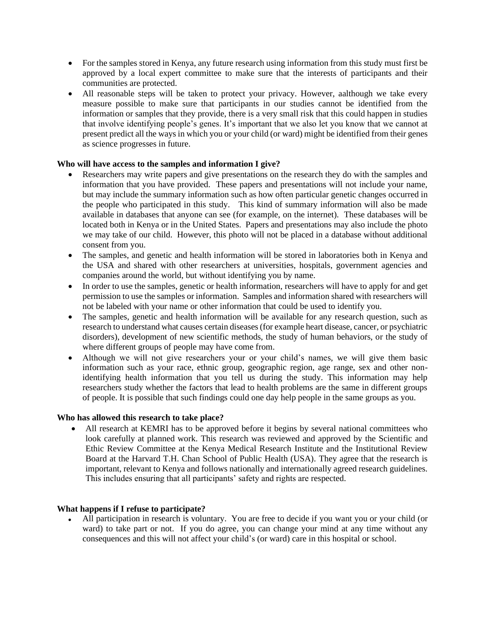- For the samples stored in Kenya, any future research using information from this study must first be approved by a local expert committee to make sure that the interests of participants and their communities are protected.
- All reasonable steps will be taken to protect your privacy. However, aalthough we take every measure possible to make sure that participants in our studies cannot be identified from the information or samples that they provide, there is a very small risk that this could happen in studies that involve identifying people's genes. It's important that we also let you know that we cannot at present predict all the ways in which you or your child (or ward) might be identified from their genes as science progresses in future.

# **Who will have access to the samples and information I give?**

- Researchers may write papers and give presentations on the research they do with the samples and information that you have provided. These papers and presentations will not include your name, but may include the summary information such as how often particular genetic changes occurred in the people who participated in this study. This kind of summary information will also be made available in databases that anyone can see (for example, on the internet). These databases will be located both in Kenya or in the United States. Papers and presentations may also include the photo we may take of our child. However, this photo will not be placed in a database without additional consent from you.
- The samples, and genetic and health information will be stored in laboratories both in Kenya and the USA and shared with other researchers at universities, hospitals, government agencies and companies around the world, but without identifying you by name.
- In order to use the samples, genetic or health information, researchers will have to apply for and get permission to use the samples or information. Samples and information shared with researchers will not be labeled with your name or other information that could be used to identify you.
- The samples, genetic and health information will be available for any research question, such as research to understand what causes certain diseases (for example heart disease, cancer, or psychiatric disorders), development of new scientific methods, the study of human behaviors, or the study of where different groups of people may have come from.
- Although we will not give researchers your or your child's names, we will give them basic information such as your race, ethnic group, geographic region, age range, sex and other nonidentifying health information that you tell us during the study. This information may help researchers study whether the factors that lead to health problems are the same in different groups of people. It is possible that such findings could one day help people in the same groups as you.

## **Who has allowed this research to take place?**

• All research at KEMRI has to be approved before it begins by several national committees who look carefully at planned work. This research was reviewed and approved by the Scientific and Ethic Review Committee at the Kenya Medical Research Institute and the Institutional Review Board at the Harvard T.H. Chan School of Public Health (USA). They agree that the research is important, relevant to Kenya and follows nationally and internationally agreed research guidelines. This includes ensuring that all participants' safety and rights are respected.

## **What happens if I refuse to participate?**

• All participation in research is voluntary. You are free to decide if you want you or your child (or ward) to take part or not. If you do agree, you can change your mind at any time without any consequences and this will not affect your child's (or ward) care in this hospital or school.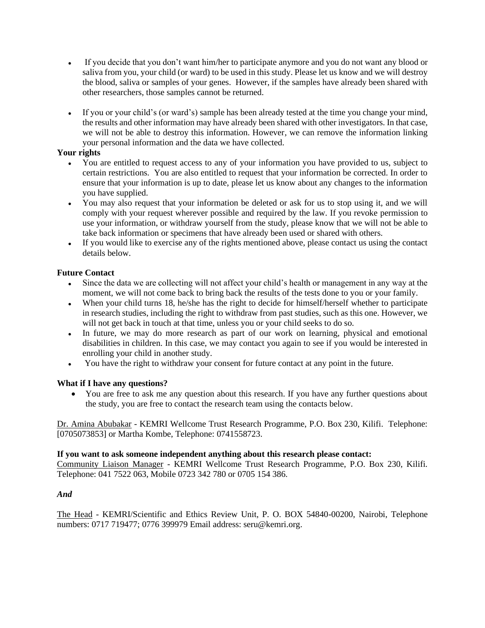- If you decide that you don't want him/her to participate anymore and you do not want any blood or saliva from you, your child (or ward) to be used in this study. Please let us know and we will destroy the blood, saliva or samples of your genes. However, if the samples have already been shared with other researchers, those samples cannot be returned.
- If you or your child's (or ward's) sample has been already tested at the time you change your mind, the results and other information may have already been shared with other investigators. In that case, we will not be able to destroy this information. However, we can remove the information linking your personal information and the data we have collected.

# **Your rights**

- You are entitled to request access to any of your information you have provided to us, subject to certain restrictions. You are also entitled to request that your information be corrected. In order to ensure that your information is up to date, please let us know about any changes to the information you have supplied.
- You may also request that your information be deleted or ask for us to stop using it, and we will comply with your request wherever possible and required by the law. If you revoke permission to use your information, or withdraw yourself from the study, please know that we will not be able to take back information or specimens that have already been used or shared with others.
- If you would like to exercise any of the rights mentioned above, please contact us using the contact details below.

# **Future Contact**

- Since the data we are collecting will not affect your child's health or management in any way at the moment, we will not come back to bring back the results of the tests done to you or your family.
- When your child turns 18, he/she has the right to decide for himself/herself whether to participate in research studies, including the right to withdraw from past studies, such as this one. However, we will not get back in touch at that time, unless you or your child seeks to do so.
- In future, we may do more research as part of our work on learning, physical and emotional disabilities in children. In this case, we may contact you again to see if you would be interested in enrolling your child in another study.
- You have the right to withdraw your consent for future contact at any point in the future.

## **What if I have any questions?**

• You are free to ask me any question about this research. If you have any further questions about the study, you are free to contact the research team using the contacts below.

Dr. Amina Abubakar - KEMRI Wellcome Trust Research Programme, P.O. Box 230, Kilifi. Telephone: [0705073853] or Martha Kombe, Telephone: 0741558723.

## **If you want to ask someone independent anything about this research please contact:**

Community Liaison Manager - KEMRI Wellcome Trust Research Programme, P.O. Box 230, Kilifi. Telephone: 041 7522 063, Mobile 0723 342 780 or 0705 154 386.

## *And*

The Head - KEMRI/Scientific and Ethics Review Unit, P. O. BOX 54840-00200, Nairobi, Telephone numbers: 0717 719477; 0776 399979 Email address: seru@kemri.org.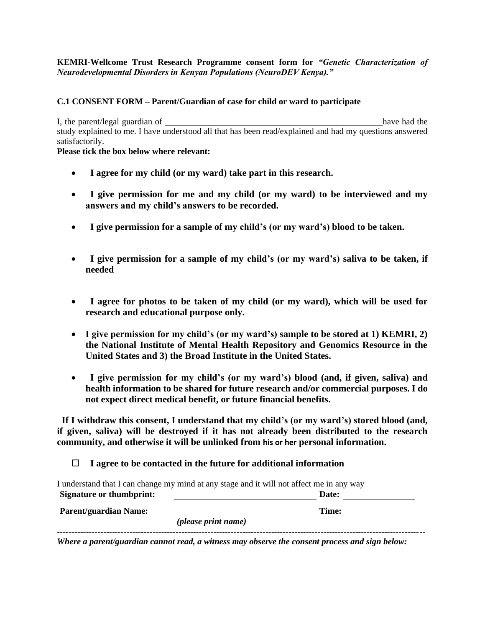# **KEMRI-Wellcome Trust Research Programme consent form for** *"Genetic Characterization of Neurodevelopmental Disorders in Kenyan Populations (NeuroDEV Kenya)."*

# **C.1 CONSENT FORM – Parent/Guardian of case for child or ward to participate**

I, the parent/legal guardian of \_\_\_\_\_\_\_\_\_\_\_\_\_\_\_\_\_\_\_\_\_\_\_\_\_\_\_\_\_\_\_\_\_\_\_\_\_\_\_\_\_\_\_\_\_\_\_\_\_\_have had the study explained to me. I have understood all that has been read/explained and had my questions answered satisfactorily.

**Please tick the box below where relevant:**

- • **I agree for my child (or my ward) take part in this research.**
- • **I give permission for me and my child (or my ward) to be interviewed and my answers and my child's answers to be recorded.**
- • **I give permission for a sample of my child's (or my ward's) blood to be taken.**
- • **I give permission for a sample of my child's (or my ward's) saliva to be taken, if needed**
- • **I agree for photos to be taken of my child (or my ward), which will be used for research and educational purpose only.**
- **I give permission for my child's (or my ward's) sample to be stored at 1) KEMRI, 2) the National Institute of Mental Health Repository and Genomics Resource in the United States and 3) the Broad Institute in the United States.**
- • **I give permission for my child's (or my ward's) blood (and, if given, saliva) and health information to be shared for future research and/or commercial purposes. I do not expect direct medical benefit, or future financial benefits.**

 **If I withdraw this consent, I understand that my child's (or my ward's) stored blood (and, if given, saliva) will be destroyed if it has not already been distributed to the research community, and otherwise it will be unlinked from his or her personal information.**

 **I agree to be contacted in the future for additional information**

|                                 | I understand that I can change my mind at any stage and it will not affect me in any way |       |  |
|---------------------------------|------------------------------------------------------------------------------------------|-------|--|
| <b>Signature or thumbprint:</b> |                                                                                          | Date: |  |
| <b>Parent/guardian Name:</b>    |                                                                                          | Time: |  |
|                                 | <i>(please print name)</i>                                                               |       |  |
|                                 |                                                                                          |       |  |

*Where a parent/guardian cannot read, a witness may observe the consent process and sign below:*